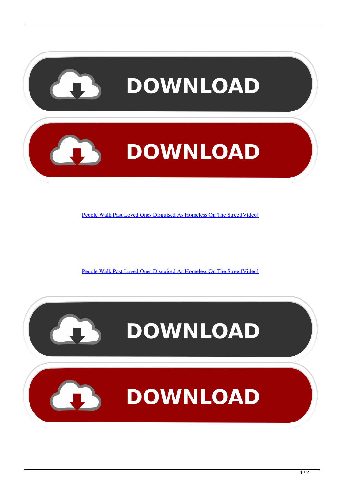

[People Walk Past Loved Ones Disguised As Homeless On The Street\[Video\]](https://picfs.com/1hrvbq)

[People Walk Past Loved Ones Disguised As Homeless On The Street\[Video\]](https://picfs.com/1hrvbq)